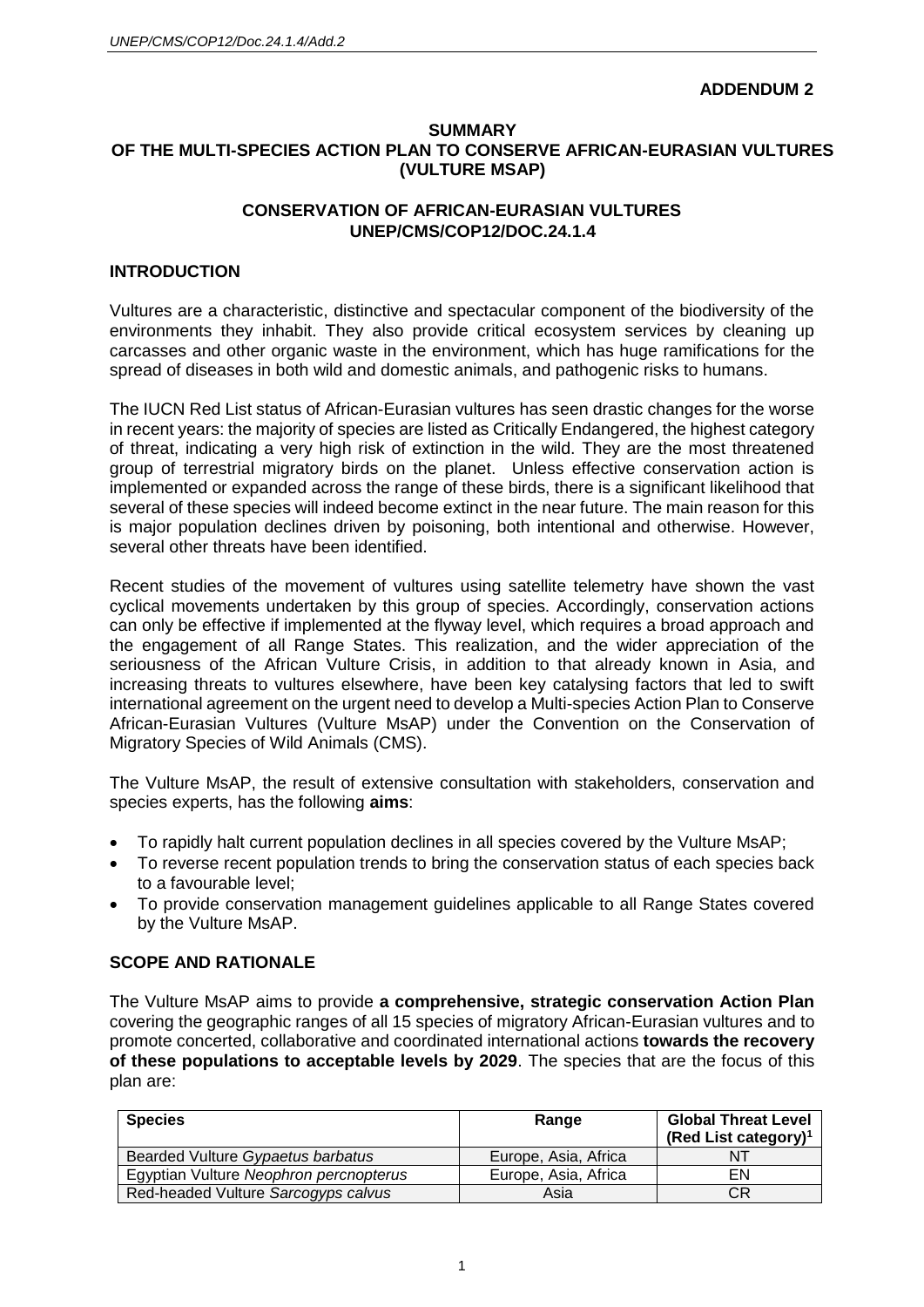#### **ADDENDUM 2**

#### **SUMMARY OF THE MULTI-SPECIES ACTION PLAN TO CONSERVE AFRICAN-EURASIAN VULTURES (VULTURE MSAP)**

### **CONSERVATION OF AFRICAN-EURASIAN VULTURES UNEP/CMS/COP12/DOC.24.1.4**

### **INTRODUCTION**

Vultures are a characteristic, distinctive and spectacular component of the biodiversity of the environments they inhabit. They also provide critical ecosystem services by cleaning up carcasses and other organic waste in the environment, which has huge ramifications for the spread of diseases in both wild and domestic animals, and pathogenic risks to humans.

The IUCN Red List status of African-Eurasian vultures has seen drastic changes for the worse in recent years: the majority of species are listed as Critically Endangered, the highest category of threat, indicating a very high risk of extinction in the wild. They are the most threatened group of terrestrial migratory birds on the planet. Unless effective conservation action is implemented or expanded across the range of these birds, there is a significant likelihood that several of these species will indeed become extinct in the near future. The main reason for this is major population declines driven by poisoning, both intentional and otherwise. However, several other threats have been identified.

Recent studies of the movement of vultures using satellite telemetry have shown the vast cyclical movements undertaken by this group of species. Accordingly, conservation actions can only be effective if implemented at the flyway level, which requires a broad approach and the engagement of all Range States. This realization, and the wider appreciation of the seriousness of the African Vulture Crisis, in addition to that already known in Asia, and increasing threats to vultures elsewhere, have been key catalysing factors that led to swift international agreement on the urgent need to develop a Multi-species Action Plan to Conserve African-Eurasian Vultures (Vulture MsAP) under the Convention on the Conservation of Migratory Species of Wild Animals (CMS).

The Vulture MsAP, the result of extensive consultation with stakeholders, conservation and species experts, has the following **aims**:

- To rapidly halt current population declines in all species covered by the Vulture MsAP;
- To reverse recent population trends to bring the conservation status of each species back to a favourable level;
- To provide conservation management guidelines applicable to all Range States covered by the Vulture MsAP.

### **SCOPE AND RATIONALE**

The Vulture MsAP aims to provide **a comprehensive, strategic conservation Action Plan** covering the geographic ranges of all 15 species of migratory African-Eurasian vultures and to promote concerted, collaborative and coordinated international actions **towards the recovery of these populations to acceptable levels by 2029**. The species that are the focus of this plan are:

| <b>Species</b>                         | Range                | <b>Global Threat Level</b><br>(Red List category) <sup>1</sup> |
|----------------------------------------|----------------------|----------------------------------------------------------------|
| Bearded Vulture Gypaetus barbatus      | Europe, Asia, Africa | 'NT                                                            |
| Egyptian Vulture Neophron percnopterus | Europe, Asia, Africa | ΕN                                                             |
| Red-headed Vulture Sarcogyps calvus    | Asia                 | СR                                                             |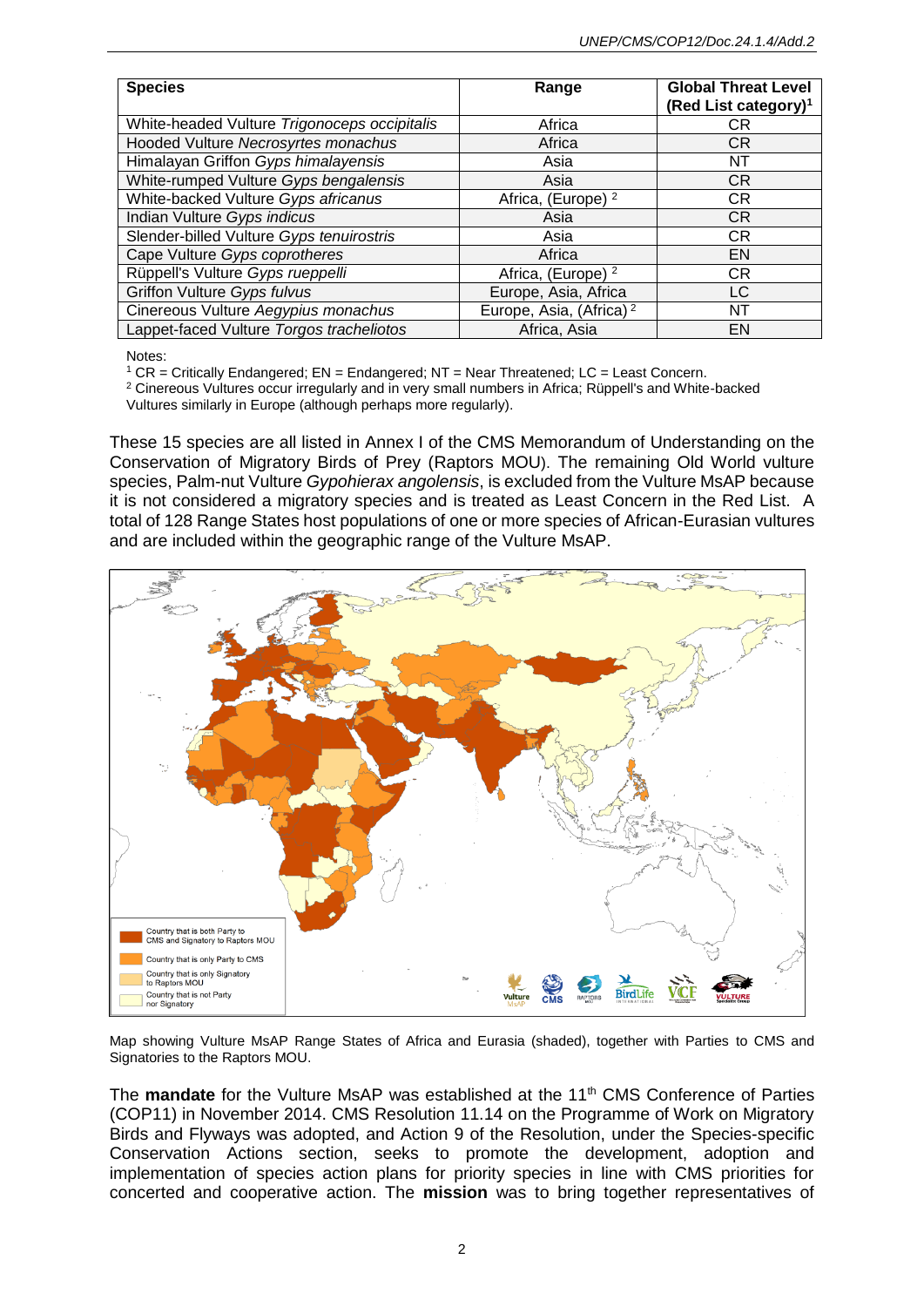| <b>Species</b>                               | Range                               | <b>Global Threat Level</b><br>(Red List category) <sup>1</sup> |
|----------------------------------------------|-------------------------------------|----------------------------------------------------------------|
| White-headed Vulture Trigonoceps occipitalis | Africa                              | СR                                                             |
| Hooded Vulture Necrosyrtes monachus          | Africa                              | CR.                                                            |
| Himalayan Griffon Gyps himalayensis          | Asia                                | NT                                                             |
| White-rumped Vulture Gyps bengalensis        | Asia                                | <b>CR</b>                                                      |
| White-backed Vulture Gyps africanus          | Africa, (Europe) <sup>2</sup>       | СR                                                             |
| Indian Vulture Gyps indicus                  | Asia                                | <b>CR</b>                                                      |
| Slender-billed Vulture Gyps tenuirostris     | Asia                                | <b>CR</b>                                                      |
| Cape Vulture Gyps coprotheres                | Africa                              | EN                                                             |
| Rüppell's Vulture Gyps rueppelli             | Africa, (Europe) <sup>2</sup>       | CR                                                             |
| Griffon Vulture Gyps fulvus                  | Europe, Asia, Africa                | LC                                                             |
| Cinereous Vulture Aegypius monachus          | Europe, Asia, (Africa) <sup>2</sup> | NT                                                             |
| Lappet-faced Vulture Torgos tracheliotos     | Africa, Asia                        | EN                                                             |

Notes:

 $1$  CR = Critically Endangered; EN = Endangered; NT = Near Threatened; LC = Least Concern.

<sup>2</sup> Cinereous Vultures occur irregularly and in very small numbers in Africa; Rüppell's and White-backed Vultures similarly in Europe (although perhaps more regularly).

These 15 species are all listed in Annex I of the CMS Memorandum of Understanding on the Conservation of Migratory Birds of Prey (Raptors MOU). The remaining Old World vulture species, Palm-nut Vulture *Gypohierax angolensis*, is excluded from the Vulture MsAP because it is not considered a migratory species and is treated as Least Concern in the Red List. A total of 128 Range States host populations of one or more species of African-Eurasian vultures and are included within the geographic range of the Vulture MsAP.



Map showing Vulture MsAP Range States of Africa and Eurasia (shaded), together with Parties to CMS and Signatories to the Raptors MOU.

The **mandate** for the Vulture MsAP was established at the 11<sup>th</sup> CMS Conference of Parties (COP11) in November 2014. CMS Resolution 11.14 on the Programme of Work on Migratory Birds and Flyways was adopted, and Action 9 of the Resolution, under the Species-specific Conservation Actions section, seeks to promote the development, adoption and implementation of species action plans for priority species in line with CMS priorities for concerted and cooperative action. The **mission** was to bring together representatives of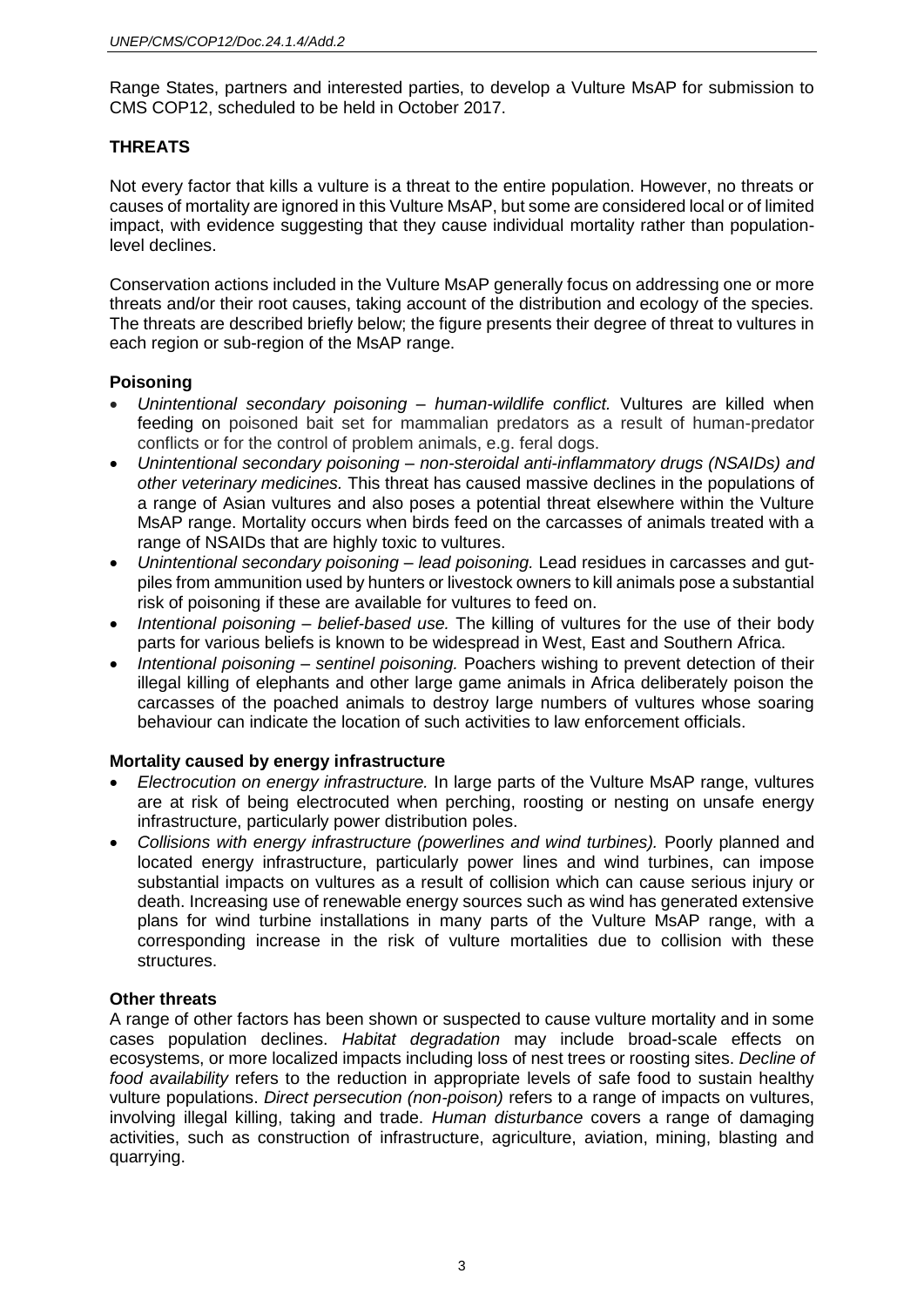Range States, partners and interested parties, to develop a Vulture MsAP for submission to CMS COP12, scheduled to be held in October 2017.

# **THREATS**

Not every factor that kills a vulture is a threat to the entire population. However, no threats or causes of mortality are ignored in this Vulture MsAP, but some are considered local or of limited impact, with evidence suggesting that they cause individual mortality rather than populationlevel declines.

Conservation actions included in the Vulture MsAP generally focus on addressing one or more threats and/or their root causes, taking account of the distribution and ecology of the species. The threats are described briefly below; the figure presents their degree of threat to vultures in each region or sub-region of the MsAP range.

### **Poisoning**

- *Unintentional secondary poisoning – human-wildlife conflict.* Vultures are killed when feeding on poisoned bait set for mammalian predators as a result of human-predator conflicts or for the control of problem animals, e.g. feral dogs.
- *Unintentional secondary poisoning – non-steroidal anti-inflammatory drugs (NSAIDs) and other veterinary medicines.* This threat has caused massive declines in the populations of a range of Asian vultures and also poses a potential threat elsewhere within the Vulture MsAP range. Mortality occurs when birds feed on the carcasses of animals treated with a range of NSAIDs that are highly toxic to vultures.
- *Unintentional secondary poisoning – lead poisoning.* Lead residues in carcasses and gutpiles from ammunition used by hunters or livestock owners to kill animals pose a substantial risk of poisoning if these are available for vultures to feed on.
- *Intentional poisoning – belief-based use.* The killing of vultures for the use of their body parts for various beliefs is known to be widespread in West, East and Southern Africa.
- *Intentional poisoning – sentinel poisoning.* Poachers wishing to prevent detection of their illegal killing of elephants and other large game animals in Africa deliberately poison the carcasses of the poached animals to destroy large numbers of vultures whose soaring behaviour can indicate the location of such activities to law enforcement officials.

### **Mortality caused by energy infrastructure**

- *Electrocution on energy infrastructure.* In large parts of the Vulture MsAP range, vultures are at risk of being electrocuted when perching, roosting or nesting on unsafe energy infrastructure, particularly power distribution poles.
- *Collisions with energy infrastructure (powerlines and wind turbines).* Poorly planned and located energy infrastructure, particularly power lines and wind turbines, can impose substantial impacts on vultures as a result of collision which can cause serious injury or death. Increasing use of renewable energy sources such as wind has generated extensive plans for wind turbine installations in many parts of the Vulture MsAP range, with a corresponding increase in the risk of vulture mortalities due to collision with these structures.

### **Other threats**

A range of other factors has been shown or suspected to cause vulture mortality and in some cases population declines. *Habitat degradation* may include broad-scale effects on ecosystems, or more localized impacts including loss of nest trees or roosting sites. *Decline of food availability* refers to the reduction in appropriate levels of safe food to sustain healthy vulture populations. *Direct persecution (non-poison)* refers to a range of impacts on vultures, involving illegal killing, taking and trade. *Human disturbance* covers a range of damaging activities, such as construction of infrastructure, agriculture, aviation, mining, blasting and quarrying.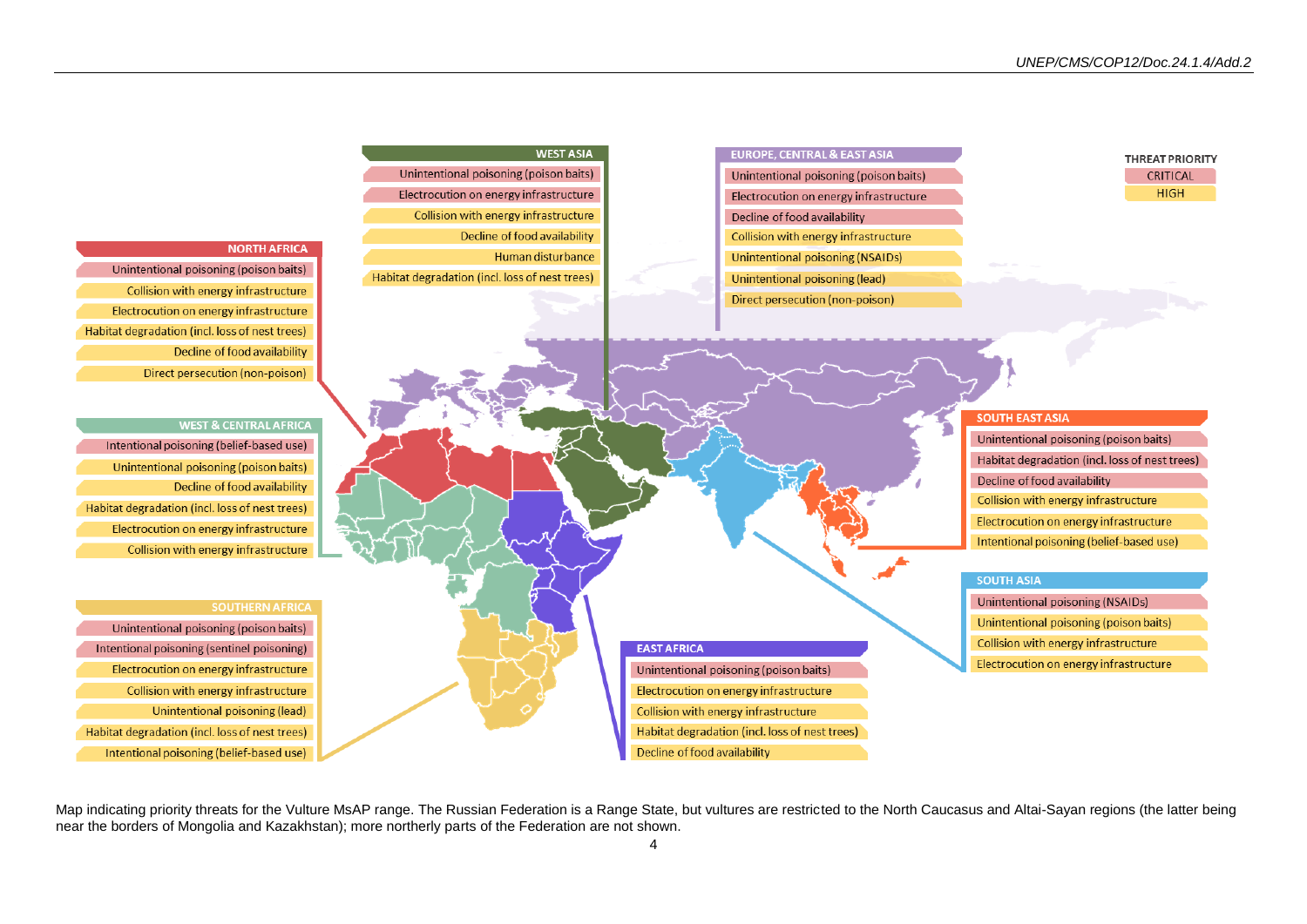

Map indicating priority threats for the Vulture MsAP range. The Russian Federation is a Range State, but vultures are restricted to the North Caucasus and Altai-Sayan regions (the latter being near the borders of Mongolia and Kazakhstan); more northerly parts of the Federation are not shown.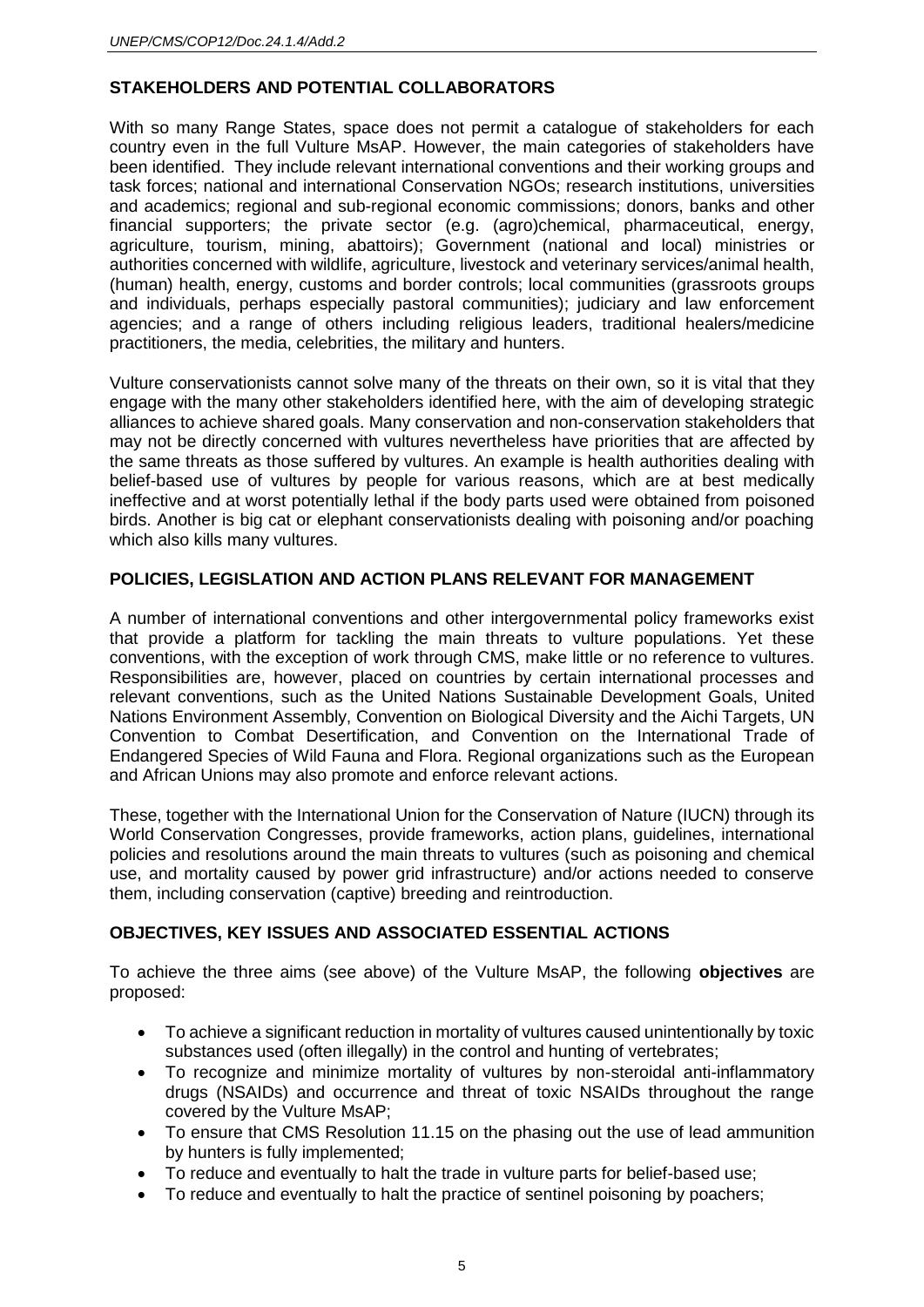# **STAKEHOLDERS AND POTENTIAL COLLABORATORS**

With so many Range States, space does not permit a catalogue of stakeholders for each country even in the full Vulture MsAP. However, the main categories of stakeholders have been identified. They include relevant international conventions and their working groups and task forces; national and international Conservation NGOs; research institutions, universities and academics; regional and sub-regional economic commissions; donors, banks and other financial supporters; the private sector (e.g. (agro)chemical, pharmaceutical, energy, agriculture, tourism, mining, abattoirs); Government (national and local) ministries or authorities concerned with wildlife, agriculture, livestock and veterinary services/animal health, (human) health, energy, customs and border controls; local communities (grassroots groups and individuals, perhaps especially pastoral communities); judiciary and law enforcement agencies; and a range of others including religious leaders, traditional healers/medicine practitioners, the media, celebrities, the military and hunters.

Vulture conservationists cannot solve many of the threats on their own, so it is vital that they engage with the many other stakeholders identified here, with the aim of developing strategic alliances to achieve shared goals. Many conservation and non-conservation stakeholders that may not be directly concerned with vultures nevertheless have priorities that are affected by the same threats as those suffered by vultures. An example is health authorities dealing with belief-based use of vultures by people for various reasons, which are at best medically ineffective and at worst potentially lethal if the body parts used were obtained from poisoned birds. Another is big cat or elephant conservationists dealing with poisoning and/or poaching which also kills many vultures.

### **POLICIES, LEGISLATION AND ACTION PLANS RELEVANT FOR MANAGEMENT**

A number of international conventions and other intergovernmental policy frameworks exist that provide a platform for tackling the main threats to vulture populations. Yet these conventions, with the exception of work through CMS, make little or no reference to vultures. Responsibilities are, however, placed on countries by certain international processes and relevant conventions, such as the United Nations Sustainable Development Goals, United Nations Environment Assembly, Convention on Biological Diversity and the Aichi Targets, UN Convention to Combat Desertification, and Convention on the International Trade of Endangered Species of Wild Fauna and Flora. Regional organizations such as the European and African Unions may also promote and enforce relevant actions.

These, together with the International Union for the Conservation of Nature (IUCN) through its World Conservation Congresses, provide frameworks, action plans, guidelines, international policies and resolutions around the main threats to vultures (such as poisoning and chemical use, and mortality caused by power grid infrastructure) and/or actions needed to conserve them, including conservation (captive) breeding and reintroduction.

# **OBJECTIVES, KEY ISSUES AND ASSOCIATED ESSENTIAL ACTIONS**

To achieve the three aims (see above) of the Vulture MsAP, the following **objectives** are proposed:

- To achieve a significant reduction in mortality of vultures caused unintentionally by toxic substances used (often illegally) in the control and hunting of vertebrates;
- To recognize and minimize mortality of vultures by non-steroidal anti-inflammatory drugs (NSAIDs) and occurrence and threat of toxic NSAIDs throughout the range covered by the Vulture MsAP;
- To ensure that CMS Resolution 11.15 on the phasing out the use of lead ammunition by hunters is fully implemented;
- To reduce and eventually to halt the trade in vulture parts for belief-based use;
- To reduce and eventually to halt the practice of sentinel poisoning by poachers;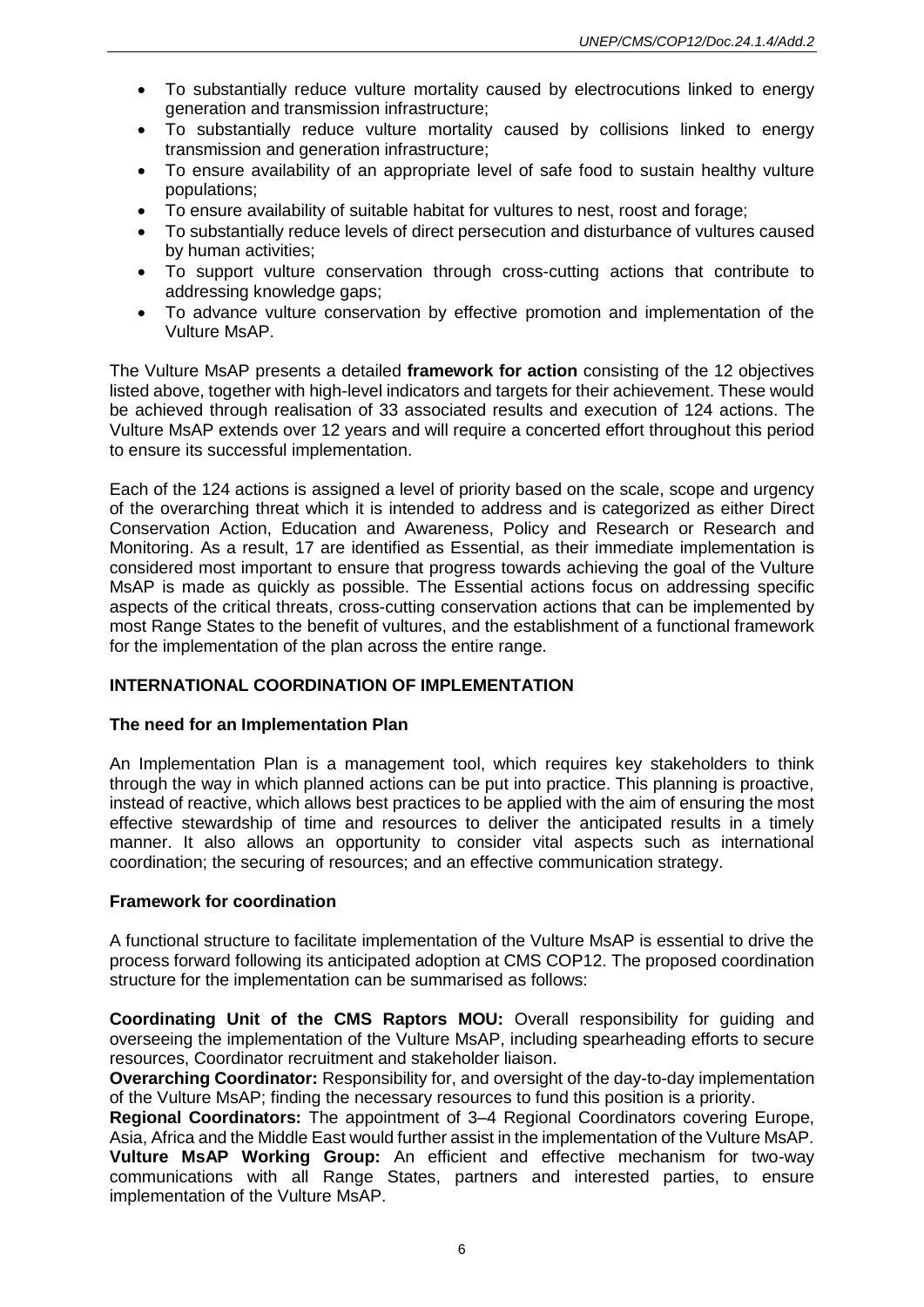- To substantially reduce vulture mortality caused by electrocutions linked to energy generation and transmission infrastructure;
- To substantially reduce vulture mortality caused by collisions linked to energy transmission and generation infrastructure;
- To ensure availability of an appropriate level of safe food to sustain healthy vulture populations;
- To ensure availability of suitable habitat for vultures to nest, roost and forage;
- To substantially reduce levels of direct persecution and disturbance of vultures caused by human activities;
- To support vulture conservation through cross-cutting actions that contribute to addressing knowledge gaps;
- To advance vulture conservation by effective promotion and implementation of the Vulture MsAP.

The Vulture MsAP presents a detailed **framework for action** consisting of the 12 objectives listed above, together with high-level indicators and targets for their achievement. These would be achieved through realisation of 33 associated results and execution of 124 actions. The Vulture MsAP extends over 12 years and will require a concerted effort throughout this period to ensure its successful implementation.

Each of the 124 actions is assigned a level of priority based on the scale, scope and urgency of the overarching threat which it is intended to address and is categorized as either Direct Conservation Action, Education and Awareness, Policy and Research or Research and Monitoring. As a result, 17 are identified as Essential, as their immediate implementation is considered most important to ensure that progress towards achieving the goal of the Vulture MsAP is made as quickly as possible. The Essential actions focus on addressing specific aspects of the critical threats, cross-cutting conservation actions that can be implemented by most Range States to the benefit of vultures, and the establishment of a functional framework for the implementation of the plan across the entire range.

### **INTERNATIONAL COORDINATION OF IMPLEMENTATION**

### **The need for an Implementation Plan**

An Implementation Plan is a management tool, which requires key stakeholders to think through the way in which planned actions can be put into practice. This planning is proactive, instead of reactive, which allows best practices to be applied with the aim of ensuring the most effective stewardship of time and resources to deliver the anticipated results in a timely manner. It also allows an opportunity to consider vital aspects such as international coordination; the securing of resources; and an effective communication strategy.

### **Framework for coordination**

A functional structure to facilitate implementation of the Vulture MsAP is essential to drive the process forward following its anticipated adoption at CMS COP12. The proposed coordination structure for the implementation can be summarised as follows:

**Coordinating Unit of the CMS Raptors MOU:** Overall responsibility for guiding and overseeing the implementation of the Vulture MsAP, including spearheading efforts to secure resources, Coordinator recruitment and stakeholder liaison.

**Overarching Coordinator:** Responsibility for, and oversight of the day-to-day implementation of the Vulture MsAP; finding the necessary resources to fund this position is a priority.

**Regional Coordinators:** The appointment of 3–4 Regional Coordinators covering Europe, Asia, Africa and the Middle East would further assist in the implementation of the Vulture MsAP. **Vulture MsAP Working Group:** An efficient and effective mechanism for two-way communications with all Range States, partners and interested parties, to ensure implementation of the Vulture MsAP.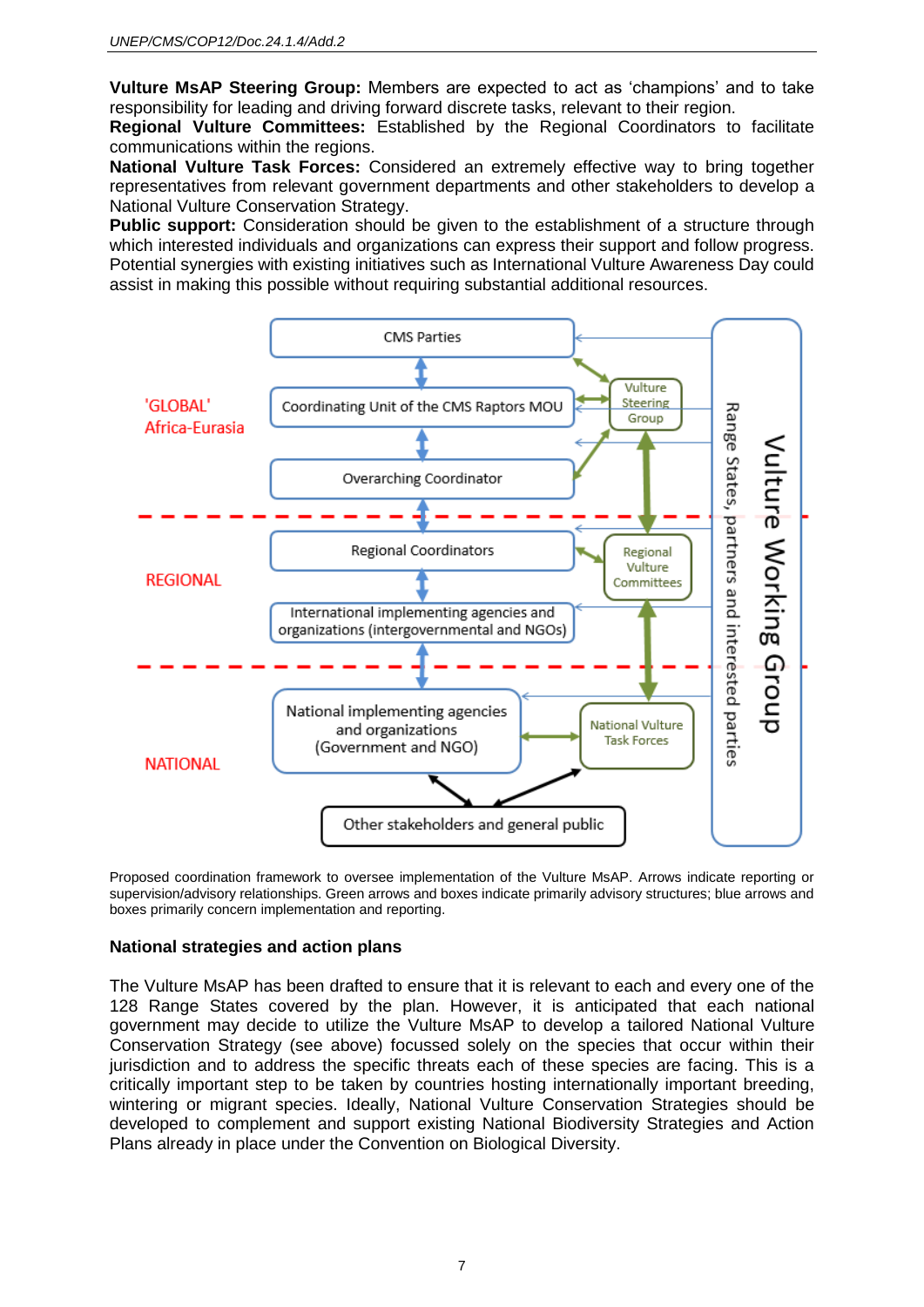**Vulture MsAP Steering Group:** Members are expected to act as 'champions' and to take responsibility for leading and driving forward discrete tasks, relevant to their region.

**Regional Vulture Committees:** Established by the Regional Coordinators to facilitate communications within the regions.

**National Vulture Task Forces:** Considered an extremely effective way to bring together representatives from relevant government departments and other stakeholders to develop a National Vulture Conservation Strategy.

**Public support:** Consideration should be given to the establishment of a structure through which interested individuals and organizations can express their support and follow progress. Potential synergies with existing initiatives such as International Vulture Awareness Day could assist in making this possible without requiring substantial additional resources.



Proposed coordination framework to oversee implementation of the Vulture MsAP. Arrows indicate reporting or supervision/advisory relationships. Green arrows and boxes indicate primarily advisory structures; blue arrows and boxes primarily concern implementation and reporting.

### **National strategies and action plans**

The Vulture MsAP has been drafted to ensure that it is relevant to each and every one of the 128 Range States covered by the plan. However, it is anticipated that each national government may decide to utilize the Vulture MsAP to develop a tailored National Vulture Conservation Strategy (see above) focussed solely on the species that occur within their jurisdiction and to address the specific threats each of these species are facing. This is a critically important step to be taken by countries hosting internationally important breeding, wintering or migrant species. Ideally, National Vulture Conservation Strategies should be developed to complement and support existing National Biodiversity Strategies and Action Plans already in place under the Convention on Biological Diversity.